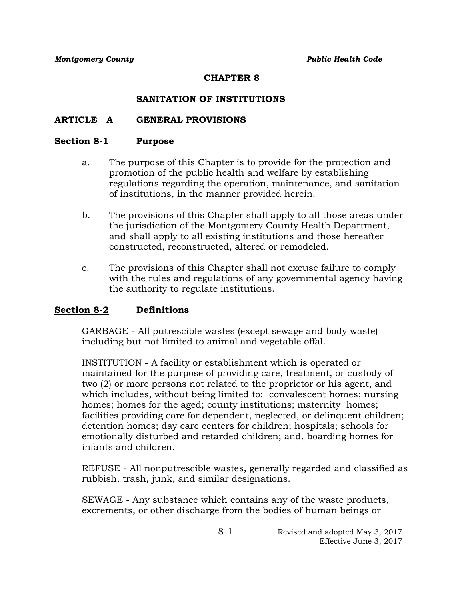## **CHAPTER 8**

# **SANITATION OF INSTITUTIONS**

## **ARTICLE A GENERAL PROVISIONS**

#### **Section 8-1 Purpose**

- a. The purpose of this Chapter is to provide for the protection and promotion of the public health and welfare by establishing regulations regarding the operation, maintenance, and sanitation of institutions, in the manner provided herein.
- b. The provisions of this Chapter shall apply to all those areas under the jurisdiction of the Montgomery County Health Department, and shall apply to all existing institutions and those hereafter constructed, reconstructed, altered or remodeled.
- c. The provisions of this Chapter shall not excuse failure to comply with the rules and regulations of any governmental agency having the authority to regulate institutions.

## **Section 8-2 Definitions**

GARBAGE - All putrescible wastes (except sewage and body waste) including but not limited to animal and vegetable offal.

INSTITUTION - A facility or establishment which is operated or maintained for the purpose of providing care, treatment, or custody of two (2) or more persons not related to the proprietor or his agent, and which includes, without being limited to: convalescent homes; nursing homes; homes for the aged; county institutions; maternity homes; facilities providing care for dependent, neglected, or delinquent children; detention homes; day care centers for children; hospitals; schools for emotionally disturbed and retarded children; and, boarding homes for infants and children.

REFUSE - All nonputrescible wastes, generally regarded and classified as rubbish, trash, junk, and similar designations.

SEWAGE - Any substance which contains any of the waste products, excrements, or other discharge from the bodies of human beings or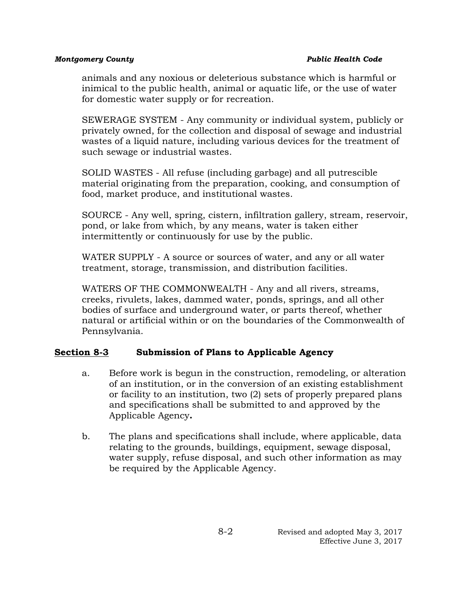#### *Montgomery County Public Health Code*

animals and any noxious or deleterious substance which is harmful or inimical to the public health, animal or aquatic life, or the use of water for domestic water supply or for recreation.

SEWERAGE SYSTEM - Any community or individual system, publicly or privately owned, for the collection and disposal of sewage and industrial wastes of a liquid nature, including various devices for the treatment of such sewage or industrial wastes.

SOLID WASTES - All refuse (including garbage) and all putrescible material originating from the preparation, cooking, and consumption of food, market produce, and institutional wastes.

SOURCE - Any well, spring, cistern, infiltration gallery, stream, reservoir, pond, or lake from which, by any means, water is taken either intermittently or continuously for use by the public.

WATER SUPPLY - A source or sources of water, and any or all water treatment, storage, transmission, and distribution facilities.

WATERS OF THE COMMONWEALTH - Any and all rivers, streams, creeks, rivulets, lakes, dammed water, ponds, springs, and all other bodies of surface and underground water, or parts thereof, whether natural or artificial within or on the boundaries of the Commonwealth of Pennsylvania.

## **Section 8-3 Submission of Plans to Applicable Agency**

- a. Before work is begun in the construction, remodeling, or alteration of an institution, or in the conversion of an existing establishment or facility to an institution, two (2) sets of properly prepared plans and specifications shall be submitted to and approved by the Applicable Agency**.**
- b. The plans and specifications shall include, where applicable, data relating to the grounds, buildings, equipment, sewage disposal, water supply, refuse disposal, and such other information as may be required by the Applicable Agency.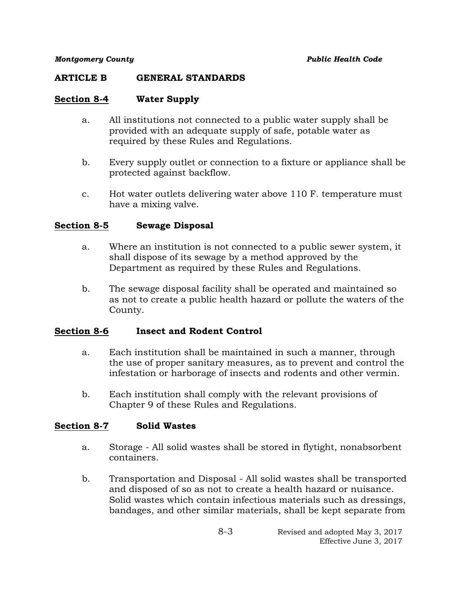#### **ARTICLE B GENERAL STANDARDS**

## **Section 8-4 Water Supply**

- a. All institutions not connected to a public water supply shall be provided with an adequate supply of safe, potable water as required by these Rules and Regulations.
- b. Every supply outlet or connection to a fixture or appliance shall be protected against backflow.
- c. Hot water outlets delivering water above 110 F. temperature must have a mixing valve.

#### **Section 8-5 Sewage Disposal**

- a. Where an institution is not connected to a public sewer system, it shall dispose of its sewage by a method approved by the Department as required by these Rules and Regulations.
- b. The sewage disposal facility shall be operated and maintained so as not to create a public health hazard or pollute the waters of the County.

## **Section 8-6 Insect and Rodent Control**

- a. Each institution shall be maintained in such a manner, through the use of proper sanitary measures, as to prevent and control the infestation or harborage of insects and rodents and other vermin.
- b. Each institution shall comply with the relevant provisions of Chapter 9 of these Rules and Regulations.

## **Section 8-7 Solid Wastes**

- a. Storage All solid wastes shall be stored in flytight, nonabsorbent containers.
- b. Transportation and Disposal All solid wastes shall be transported and disposed of so as not to create a health hazard or nuisance. Solid wastes which contain infectious materials such as dressings, bandages, and other similar materials, shall be kept separate from